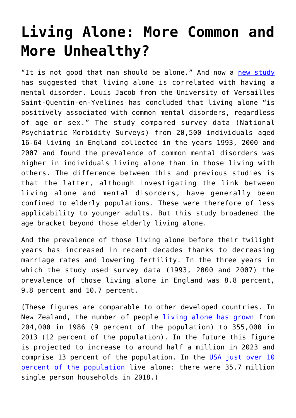## **[Living Alone: More Common and](https://intellectualtakeout.org/2019/05/living-alone-more-common-and-more-unhealthy/) [More Unhealthy?](https://intellectualtakeout.org/2019/05/living-alone-more-common-and-more-unhealthy/)**

"It is not good that man should be alone." And now a [new study](https://www.scimex.org/newsfeed/mental-disorders-more-common-in-people-who-live-alon) has suggested that living alone is correlated with having a mental disorder. Louis Jacob from the University of Versailles Saint-Quentin-en-Yvelines has concluded that living alone "is positively associated with common mental disorders, regardless of age or sex." The study compared survey data (National Psychiatric Morbidity Surveys) from 20,500 individuals aged 16-64 living in England collected in the years 1993, 2000 and 2007 and found the prevalence of common mental disorders was higher in individuals living alone than in those living with others. The difference between this and previous studies is that the latter, although investigating the link between living alone and mental disorders, have generally been confined to elderly populations. These were therefore of less applicability to younger adults. But this study broadened the age bracket beyond those elderly living alone.

And the prevalence of those living alone before their twilight years has increased in recent decades thanks to decreasing marriage rates and lowering fertility. In the three years in which the study used survey data (1993, 2000 and 2007) the prevalence of those living alone in England was 8.8 percent, 9.8 percent and 10.7 percent.

(These figures are comparable to other developed countries. In New Zealand, the number of people [living alone has grown](http://archive.stats.govt.nz/browse_for_stats/people_and_communities/Well-being/social-connectedness/social-networks/living-alone/rates-of-living-alone.aspx) from 204,000 in 1986 (9 percent of the population) to 355,000 in 2013 (12 percent of the population). In the future this figure is projected to increase to around half a million in 2023 and comprise 13 percent of the population. In the [USA just over 10](https://www.census.gov/newsroom/press-releases/2018/families.html) [percent of the population](https://www.census.gov/newsroom/press-releases/2018/families.html) live alone: there were 35.7 million single person households in 2018.)